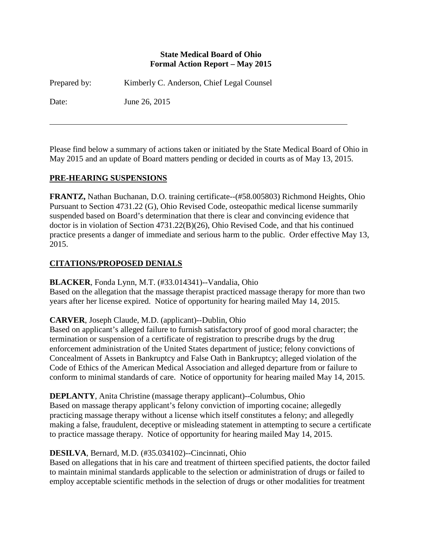#### **State Medical Board of Ohio Formal Action Report – May 2015**

Prepared by: Kimberly C. Anderson, Chief Legal Counsel Date: June 26, 2015

Please find below a summary of actions taken or initiated by the State Medical Board of Ohio in May 2015 and an update of Board matters pending or decided in courts as of May 13, 2015.

### **PRE-HEARING SUSPENSIONS**

**FRANTZ,** Nathan Buchanan, D.O. training certificate--(#58.005803) Richmond Heights, Ohio Pursuant to Section 4731.22 (G), Ohio Revised Code, osteopathic medical license summarily suspended based on Board's determination that there is clear and convincing evidence that doctor is in violation of Section 4731.22(B)(26), Ohio Revised Code, and that his continued practice presents a danger of immediate and serious harm to the public. Order effective May 13, 2015.

## **CITATIONS/PROPOSED DENIALS**

### **BLACKER**, Fonda Lynn, M.T. (#33.014341)--Vandalia, Ohio

Based on the allegation that the massage therapist practiced massage therapy for more than two years after her license expired. Notice of opportunity for hearing mailed May 14, 2015.

### **CARVER**, Joseph Claude, M.D. (applicant)--Dublin, Ohio

Based on applicant's alleged failure to furnish satisfactory proof of good moral character; the termination or suspension of a certificate of registration to prescribe drugs by the drug enforcement administration of the United States department of justice; felony convictions of Concealment of Assets in Bankruptcy and False Oath in Bankruptcy; alleged violation of the Code of Ethics of the American Medical Association and alleged departure from or failure to conform to minimal standards of care. Notice of opportunity for hearing mailed May 14, 2015.

**DEPLANTY**, Anita Christine (massage therapy applicant)--Columbus, Ohio Based on massage therapy applicant's felony conviction of importing cocaine; allegedly practicing massage therapy without a license which itself constitutes a felony; and allegedly making a false, fraudulent, deceptive or misleading statement in attempting to secure a certificate to practice massage therapy. Notice of opportunity for hearing mailed May 14, 2015.

### **DESILVA**, Bernard, M.D. (#35.034102)--Cincinnati, Ohio

Based on allegations that in his care and treatment of thirteen specified patients, the doctor failed to maintain minimal standards applicable to the selection or administration of drugs or failed to employ acceptable scientific methods in the selection of drugs or other modalities for treatment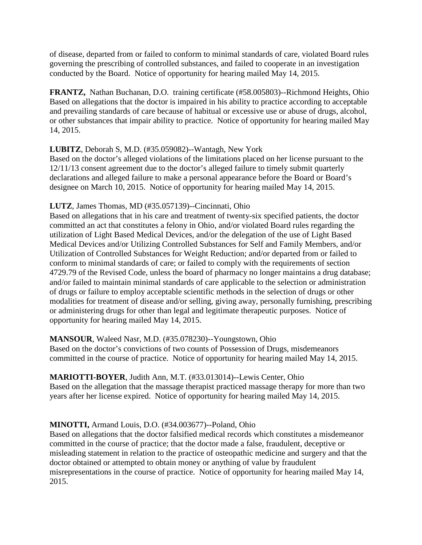of disease, departed from or failed to conform to minimal standards of care, violated Board rules governing the prescribing of controlled substances, and failed to cooperate in an investigation conducted by the Board. Notice of opportunity for hearing mailed May 14, 2015.

**FRANTZ,** Nathan Buchanan, D.O. training certificate (#58.005803)--Richmond Heights, Ohio Based on allegations that the doctor is impaired in his ability to practice according to acceptable and prevailing standards of care because of habitual or excessive use or abuse of drugs, alcohol, or other substances that impair ability to practice. Notice of opportunity for hearing mailed May 14, 2015.

# **LUBITZ**, Deborah S, M.D. (#35.059082)--Wantagh, New York

Based on the doctor's alleged violations of the limitations placed on her license pursuant to the 12/11/13 consent agreement due to the doctor's alleged failure to timely submit quarterly declarations and alleged failure to make a personal appearance before the Board or Board's designee on March 10, 2015. Notice of opportunity for hearing mailed May 14, 2015.

## **LUTZ**, James Thomas, MD (#35.057139)--Cincinnati, Ohio

Based on allegations that in his care and treatment of twenty-six specified patients, the doctor committed an act that constitutes a felony in Ohio, and/or violated Board rules regarding the utilization of Light Based Medical Devices, and/or the delegation of the use of Light Based Medical Devices and/or Utilizing Controlled Substances for Self and Family Members, and/or Utilization of Controlled Substances for Weight Reduction; and/or departed from or failed to conform to minimal standards of care; or failed to comply with the requirements of section 4729.79 of the Revised Code, unless the board of pharmacy no longer maintains a drug database; and/or failed to maintain minimal standards of care applicable to the selection or administration of drugs or failure to employ acceptable scientific methods in the selection of drugs or other modalities for treatment of disease and/or selling, giving away, personally furnishing, prescribing or administering drugs for other than legal and legitimate therapeutic purposes. Notice of opportunity for hearing mailed May 14, 2015.

# **MANSOUR**, Waleed Nasr, M.D. (#35.078230)--Youngstown, Ohio

Based on the doctor's convictions of two counts of Possession of Drugs, misdemeanors committed in the course of practice. Notice of opportunity for hearing mailed May 14, 2015.

## **MARIOTTI-BOYER**, Judith Ann, M.T. (#33.013014)--Lewis Center, Ohio Based on the allegation that the massage therapist practiced massage therapy for more than two years after her license expired. Notice of opportunity for hearing mailed May 14, 2015.

# **MINOTTI,** Armand Louis, D.O. (#34.003677)--Poland, Ohio

Based on allegations that the doctor falsified medical records which constitutes a misdemeanor committed in the course of practice; that the doctor made a false, fraudulent, deceptive or misleading statement in relation to the practice of osteopathic medicine and surgery and that the doctor obtained or attempted to obtain money or anything of value by fraudulent misrepresentations in the course of practice. Notice of opportunity for hearing mailed May 14, 2015.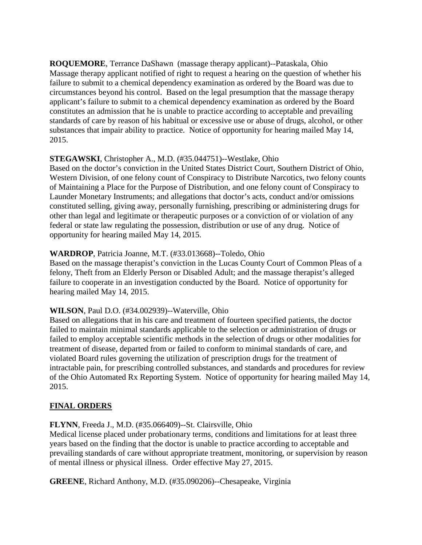**ROQUEMORE**, Terrance DaShawn (massage therapy applicant)--Pataskala, Ohio Massage therapy applicant notified of right to request a hearing on the question of whether his failure to submit to a chemical dependency examination as ordered by the Board was due to circumstances beyond his control. Based on the legal presumption that the massage therapy applicant's failure to submit to a chemical dependency examination as ordered by the Board constitutes an admission that he is unable to practice according to acceptable and prevailing standards of care by reason of his habitual or excessive use or abuse of drugs, alcohol, or other substances that impair ability to practice. Notice of opportunity for hearing mailed May 14, 2015.

### **STEGAWSKI**, Christopher A., M.D. (#35.044751)--Westlake, Ohio

Based on the doctor's conviction in the United States District Court, Southern District of Ohio, Western Division, of one felony count of Conspiracy to Distribute Narcotics, two felony counts of Maintaining a Place for the Purpose of Distribution, and one felony count of Conspiracy to Launder Monetary Instruments; and allegations that doctor's acts, conduct and/or omissions constituted selling, giving away, personally furnishing, prescribing or administering drugs for other than legal and legitimate or therapeutic purposes or a conviction of or violation of any federal or state law regulating the possession, distribution or use of any drug. Notice of opportunity for hearing mailed May 14, 2015.

#### **WARDROP**, Patricia Joanne, M.T. (#33.013668)--Toledo, Ohio

Based on the massage therapist's conviction in the Lucas County Court of Common Pleas of a felony, Theft from an Elderly Person or Disabled Adult; and the massage therapist's alleged failure to cooperate in an investigation conducted by the Board. Notice of opportunity for hearing mailed May 14, 2015.

#### **WILSON**, Paul D.O. (#34.002939)--Waterville, Ohio

Based on allegations that in his care and treatment of fourteen specified patients, the doctor failed to maintain minimal standards applicable to the selection or administration of drugs or failed to employ acceptable scientific methods in the selection of drugs or other modalities for treatment of disease, departed from or failed to conform to minimal standards of care, and violated Board rules governing the utilization of prescription drugs for the treatment of intractable pain, for prescribing controlled substances, and standards and procedures for review of the Ohio Automated Rx Reporting System. Notice of opportunity for hearing mailed May 14, 2015.

#### **FINAL ORDERS**

**FLYNN**, Freeda J., M.D. (#35.066409)--St. Clairsville, Ohio

Medical license placed under probationary terms, conditions and limitations for at least three years based on the finding that the doctor is unable to practice according to acceptable and prevailing standards of care without appropriate treatment, monitoring, or supervision by reason of mental illness or physical illness. Order effective May 27, 2015.

**GREENE**, Richard Anthony, M.D. (#35.090206)--Chesapeake, Virginia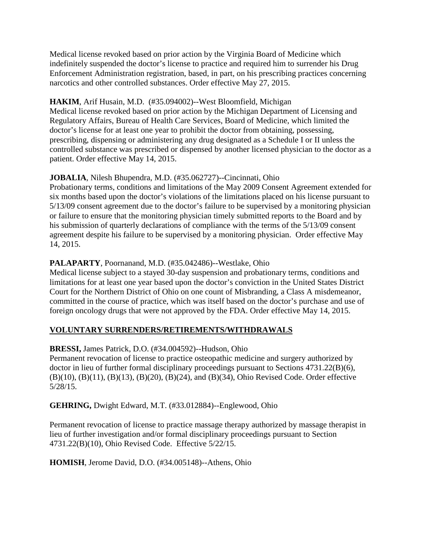Medical license revoked based on prior action by the Virginia Board of Medicine which indefinitely suspended the doctor's license to practice and required him to surrender his Drug Enforcement Administration registration, based, in part, on his prescribing practices concerning narcotics and other controlled substances. Order effective May 27, 2015.

## **HAKIM**, Arif Husain, M.D. (#35.094002)--West Bloomfield, Michigan

Medical license revoked based on prior action by the Michigan Department of Licensing and Regulatory Affairs, Bureau of Health Care Services, Board of Medicine, which limited the doctor's license for at least one year to prohibit the doctor from obtaining, possessing, prescribing, dispensing or administering any drug designated as a Schedule I or II unless the controlled substance was prescribed or dispensed by another licensed physician to the doctor as a patient. Order effective May 14, 2015.

## **JOBALIA**, Nilesh Bhupendra, M.D. (#35.062727)--Cincinnati, Ohio

Probationary terms, conditions and limitations of the May 2009 Consent Agreement extended for six months based upon the doctor's violations of the limitations placed on his license pursuant to 5/13/09 consent agreement due to the doctor's failure to be supervised by a monitoring physician or failure to ensure that the monitoring physician timely submitted reports to the Board and by his submission of quarterly declarations of compliance with the terms of the 5/13/09 consent agreement despite his failure to be supervised by a monitoring physician. Order effective May 14, 2015.

# **PALAPARTY**, Poornanand, M.D. (#35.042486)--Westlake, Ohio

Medical license subject to a stayed 30-day suspension and probationary terms, conditions and limitations for at least one year based upon the doctor's conviction in the United States District Court for the Northern District of Ohio on one count of Misbranding, a Class A misdemeanor, committed in the course of practice, which was itself based on the doctor's purchase and use of foreign oncology drugs that were not approved by the FDA. Order effective May 14, 2015.

# **VOLUNTARY SURRENDERS/RETIREMENTS/WITHDRAWALS**

### **BRESSI,** James Patrick, D.O. (#34.004592)--Hudson, Ohio

Permanent revocation of license to practice osteopathic medicine and surgery authorized by doctor in lieu of further formal disciplinary proceedings pursuant to Sections 4731.22(B)(6), (B)(10), (B)(11), (B)(13), (B)(20), (B)(24), and (B)(34), Ohio Revised Code. Order effective 5/28/15.

**GEHRING,** Dwight Edward, M.T. (#33.012884)--Englewood, Ohio

Permanent revocation of license to practice massage therapy authorized by massage therapist in lieu of further investigation and/or formal disciplinary proceedings pursuant to Section 4731.22(B)(10), Ohio Revised Code. Effective 5/22/15.

**HOMISH**, Jerome David, D.O. (#34.005148)--Athens, Ohio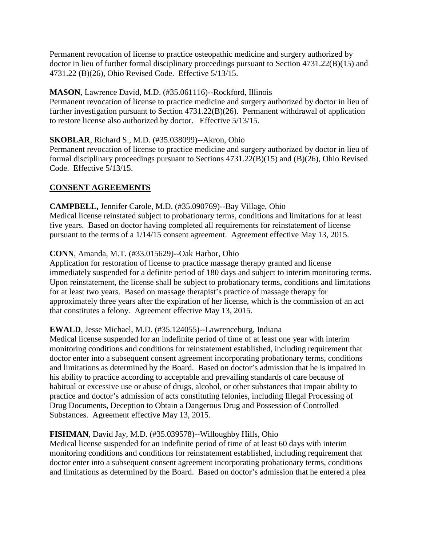Permanent revocation of license to practice osteopathic medicine and surgery authorized by doctor in lieu of further formal disciplinary proceedings pursuant to Section 4731.22(B)(15) and 4731.22 (B)(26), Ohio Revised Code. Effective 5/13/15.

### **MASON**, Lawrence David, M.D. (#35.061116)--Rockford, Illinois

Permanent revocation of license to practice medicine and surgery authorized by doctor in lieu of further investigation pursuant to Section 4731.22(B)(26). Permanent withdrawal of application to restore license also authorized by doctor. Effective 5/13/15.

## **SKOBLAR**, Richard S., M.D. (#35.038099)--Akron, Ohio

Permanent revocation of license to practice medicine and surgery authorized by doctor in lieu of formal disciplinary proceedings pursuant to Sections 4731.22(B)(15) and (B)(26), Ohio Revised Code. Effective 5/13/15.

# **CONSENT AGREEMENTS**

## **CAMPBELL,** Jennifer Carole, M.D. (#35.090769)--Bay Village, Ohio

Medical license reinstated subject to probationary terms, conditions and limitations for at least five years. Based on doctor having completed all requirements for reinstatement of license pursuant to the terms of a 1/14/15 consent agreement. Agreement effective May 13, 2015.

## **CONN**, Amanda, M.T. (#33.015629)--Oak Harbor, Ohio

Application for restoration of license to practice massage therapy granted and license immediately suspended for a definite period of 180 days and subject to interim monitoring terms. Upon reinstatement, the license shall be subject to probationary terms, conditions and limitations for at least two years. Based on massage therapist's practice of massage therapy for approximately three years after the expiration of her license, which is the commission of an act that constitutes a felony. Agreement effective May 13, 2015.

### **EWALD**, Jesse Michael, M.D. (#35.124055)--Lawrenceburg, Indiana

Medical license suspended for an indefinite period of time of at least one year with interim monitoring conditions and conditions for reinstatement established, including requirement that doctor enter into a subsequent consent agreement incorporating probationary terms, conditions and limitations as determined by the Board. Based on doctor's admission that he is impaired in his ability to practice according to acceptable and prevailing standards of care because of habitual or excessive use or abuse of drugs, alcohol, or other substances that impair ability to practice and doctor's admission of acts constituting felonies, including Illegal Processing of Drug Documents, Deception to Obtain a Dangerous Drug and Possession of Controlled Substances. Agreement effective May 13, 2015.

# **FISHMAN**, David Jay, M.D. (#35.039578)--Willoughby Hills, Ohio

Medical license suspended for an indefinite period of time of at least 60 days with interim monitoring conditions and conditions for reinstatement established, including requirement that doctor enter into a subsequent consent agreement incorporating probationary terms, conditions and limitations as determined by the Board. Based on doctor's admission that he entered a plea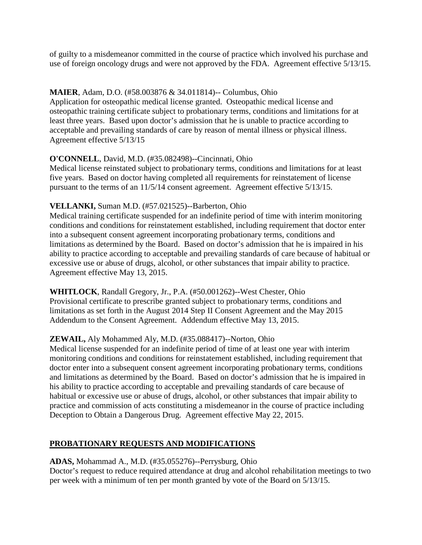of guilty to a misdemeanor committed in the course of practice which involved his purchase and use of foreign oncology drugs and were not approved by the FDA. Agreement effective 5/13/15.

## **MAIER**, Adam, D.O. (#58.003876 & 34.011814)-- Columbus, Ohio

Application for osteopathic medical license granted. Osteopathic medical license and osteopathic training certificate subject to probationary terms, conditions and limitations for at least three years. Based upon doctor's admission that he is unable to practice according to acceptable and prevailing standards of care by reason of mental illness or physical illness. Agreement effective 5/13/15

## **O'CONNELL**, David, M.D. (#35.082498)--Cincinnati, Ohio

Medical license reinstated subject to probationary terms, conditions and limitations for at least five years. Based on doctor having completed all requirements for reinstatement of license pursuant to the terms of an 11/5/14 consent agreement. Agreement effective 5/13/15.

## **VELLANKI,** Suman M.D. (#57.021525)--Barberton, Ohio

Medical training certificate suspended for an indefinite period of time with interim monitoring conditions and conditions for reinstatement established, including requirement that doctor enter into a subsequent consent agreement incorporating probationary terms, conditions and limitations as determined by the Board. Based on doctor's admission that he is impaired in his ability to practice according to acceptable and prevailing standards of care because of habitual or excessive use or abuse of drugs, alcohol, or other substances that impair ability to practice. Agreement effective May 13, 2015.

**WHITLOCK**, Randall Gregory, Jr., P.A. (#50.001262)--West Chester, Ohio Provisional certificate to prescribe granted subject to probationary terms, conditions and limitations as set forth in the August 2014 Step II Consent Agreement and the May 2015 Addendum to the Consent Agreement. Addendum effective May 13, 2015.

# **ZEWAIL,** Aly Mohammed Aly, M.D. (#35.088417)--Norton, Ohio

Medical license suspended for an indefinite period of time of at least one year with interim monitoring conditions and conditions for reinstatement established, including requirement that doctor enter into a subsequent consent agreement incorporating probationary terms, conditions and limitations as determined by the Board. Based on doctor's admission that he is impaired in his ability to practice according to acceptable and prevailing standards of care because of habitual or excessive use or abuse of drugs, alcohol, or other substances that impair ability to practice and commission of acts constituting a misdemeanor in the course of practice including Deception to Obtain a Dangerous Drug. Agreement effective May 22, 2015.

# **PROBATIONARY REQUESTS AND MODIFICATIONS**

**ADAS,** Mohammad A., M.D. (#35.055276)--Perrysburg, Ohio

Doctor's request to reduce required attendance at drug and alcohol rehabilitation meetings to two per week with a minimum of ten per month granted by vote of the Board on 5/13/15.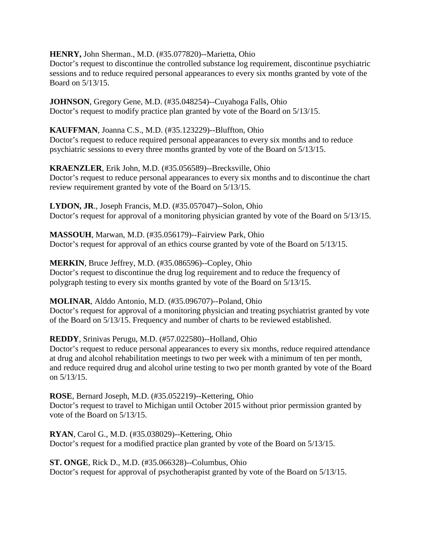**HENRY,** John Sherman., M.D. (#35.077820)--Marietta, Ohio

Doctor's request to discontinue the controlled substance log requirement, discontinue psychiatric sessions and to reduce required personal appearances to every six months granted by vote of the Board on 5/13/15.

**JOHNSON**, Gregory Gene, M.D. (#35.048254)--Cuyahoga Falls, Ohio Doctor's request to modify practice plan granted by vote of the Board on 5/13/15.

**KAUFFMAN**, Joanna C.S., M.D. (#35.123229)--Bluffton, Ohio Doctor's request to reduce required personal appearances to every six months and to reduce psychiatric sessions to every three months granted by vote of the Board on 5/13/15.

**KRAENZLER**, Erik John, M.D. (#35.056589)--Brecksville, Ohio Doctor's request to reduce personal appearances to every six months and to discontinue the chart review requirement granted by vote of the Board on 5/13/15.

**LYDON, JR**., Joseph Francis, M.D. (#35.057047)--Solon, Ohio Doctor's request for approval of a monitoring physician granted by vote of the Board on 5/13/15.

**MASSOUH**, Marwan, M.D. (#35.056179)--Fairview Park, Ohio Doctor's request for approval of an ethics course granted by vote of the Board on 5/13/15.

**MERKIN**, Bruce Jeffrey, M.D. (#35.086596)--Copley, Ohio Doctor's request to discontinue the drug log requirement and to reduce the frequency of polygraph testing to every six months granted by vote of the Board on 5/13/15.

**MOLINAR**, Alddo Antonio, M.D. (#35.096707)--Poland, Ohio Doctor's request for approval of a monitoring physician and treating psychiatrist granted by vote of the Board on 5/13/15. Frequency and number of charts to be reviewed established.

**REDDY**, Srinivas Perugu, M.D. (#57.022580)--Holland, Ohio Doctor's request to reduce personal appearances to every six months, reduce required attendance at drug and alcohol rehabilitation meetings to two per week with a minimum of ten per month, and reduce required drug and alcohol urine testing to two per month granted by vote of the Board on 5/13/15.

**ROSE**, Bernard Joseph, M.D. (#35.052219)--Kettering, Ohio Doctor's request to travel to Michigan until October 2015 without prior permission granted by vote of the Board on 5/13/15.

**RYAN**, Carol G., M.D. (#35.038029)--Kettering, Ohio Doctor's request for a modified practice plan granted by vote of the Board on 5/13/15.

**ST. ONGE**, Rick D., M.D. (#35.066328)--Columbus, Ohio Doctor's request for approval of psychotherapist granted by vote of the Board on 5/13/15.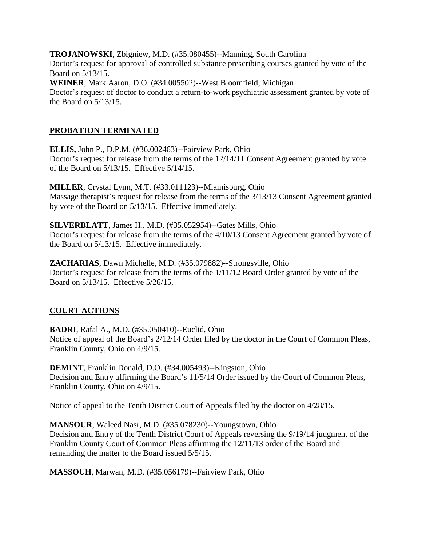**TROJANOWSKI**, Zbigniew, M.D. (#35.080455)--Manning, South Carolina Doctor's request for approval of controlled substance prescribing courses granted by vote of the Board on 5/13/15. **WEINER**, Mark Aaron, D.O. (#34.005502)--West Bloomfield, Michigan Doctor's request of doctor to conduct a return-to-work psychiatric assessment granted by vote of the Board on 5/13/15.

### **PROBATION TERMINATED**

**ELLIS,** John P., D.P.M. (#36.002463)--Fairview Park, Ohio Doctor's request for release from the terms of the 12/14/11 Consent Agreement granted by vote of the Board on 5/13/15. Effective 5/14/15.

**MILLER**, Crystal Lynn, M.T. (#33.011123)--Miamisburg, Ohio Massage therapist's request for release from the terms of the 3/13/13 Consent Agreement granted by vote of the Board on 5/13/15. Effective immediately.

**SILVERBLATT**, James H., M.D. (#35.052954)--Gates Mills, Ohio Doctor's request for release from the terms of the 4/10/13 Consent Agreement granted by vote of the Board on 5/13/15. Effective immediately.

**ZACHARIAS**, Dawn Michelle, M.D. (#35.079882)--Strongsville, Ohio Doctor's request for release from the terms of the 1/11/12 Board Order granted by vote of the Board on 5/13/15. Effective 5/26/15.

### **COURT ACTIONS**

**BADRI**, Rafal A., M.D. (#35.050410)--Euclid, Ohio Notice of appeal of the Board's 2/12/14 Order filed by the doctor in the Court of Common Pleas, Franklin County, Ohio on 4/9/15.

**DEMINT**, Franklin Donald, D.O. (#34.005493)--Kingston, Ohio Decision and Entry affirming the Board's 11/5/14 Order issued by the Court of Common Pleas, Franklin County, Ohio on 4/9/15.

Notice of appeal to the Tenth District Court of Appeals filed by the doctor on 4/28/15.

**MANSOUR**, Waleed Nasr, M.D. (#35.078230)--Youngstown, Ohio Decision and Entry of the Tenth District Court of Appeals reversing the 9/19/14 judgment of the Franklin County Court of Common Pleas affirming the 12/11/13 order of the Board and remanding the matter to the Board issued 5/5/15.

**MASSOUH**, Marwan, M.D. (#35.056179)--Fairview Park, Ohio